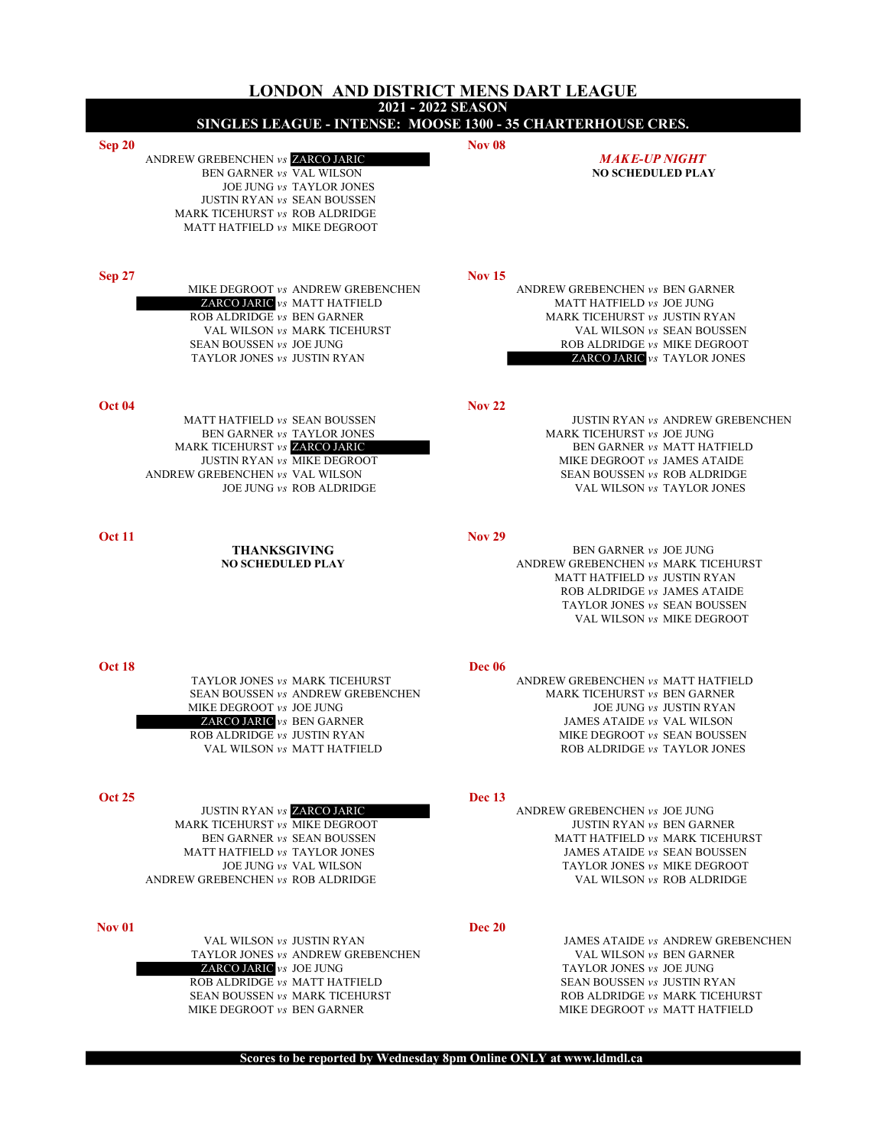|               | 2021 - 2022 SEASON<br>SINGLES LEAGUE - INTENSE: MOOSE 1300 - 35 CHARTERHOUSE CRES.                                                                                                                |               |                                                                                                                                                                                                     |
|---------------|---------------------------------------------------------------------------------------------------------------------------------------------------------------------------------------------------|---------------|-----------------------------------------------------------------------------------------------------------------------------------------------------------------------------------------------------|
| Sep 20        | ANDREW GREBENCHEN vs ZARCO JARIC<br>BEN GARNER vs VAL WILSON<br>JOE JUNG vs TAYLOR JONES<br><b>JUSTIN RYAN vs SEAN BOUSSEN</b><br>MARK TICEHURST vs ROB ALDRIDGE<br>MATT HATFIELD vs MIKE DEGROOT | <b>Nov 08</b> | <b>MAKE-UP NIGHT</b><br><b>NO SCHEDULED PLAY</b>                                                                                                                                                    |
| <b>Sep 27</b> | MIKE DEGROOT vs ANDREW GREBENCHEN<br>ZARCO JARIC vs MATT HATFIELD<br>ROB ALDRIDGE vs BEN GARNER<br>VAL WILSON vs MARK TICEHURST<br>SEAN BOUSSEN vs JOE JUNG<br>TAYLOR JONES vs JUSTIN RYAN        | <b>Nov 15</b> | ANDREW GREBENCHEN vs BEN GARNER<br>MATT HATFIELD vs JOE JUNG<br>MARK TICEHURST vs JUSTIN RYAN<br>VAL WILSON vs SEAN BOUSSEN<br>ROB ALDRIDGE vs MIKE DEGROOT<br><b>ZARCO JARIC</b> $vs$ TAYLOR JONES |
| <b>Oct 04</b> | MATT HATFIELD vs SEAN BOUSSEN<br>BEN GARNER vs TAYLOR JONES<br>MARK TICEHURST vs ZARCO JARIC<br>JUSTIN RYAN vs MIKE DEGROOT<br>ANDREW GREBENCHEN vs VAL WILSON<br>JOE JUNG vs ROB ALDRIDGE        | <b>Nov 22</b> | JUSTIN RYAN vs ANDREW GREBENCHEN<br>MARK TICEHURST vs JOE JUNG<br>BEN GARNER vs MATT HATFIELD<br>MIKE DEGROOT vs JAMES ATAIDE<br>SEAN BOUSSEN vs ROB ALDRIDGE<br>VAL WILSON vs TAYLOR JONES         |
| <b>Oct 11</b> | <b>THANKSGIVING</b><br><b>NO SCHEDULED PLAY</b>                                                                                                                                                   | <b>Nov 29</b> | BEN GARNER vs JOE JUNG<br>ANDREW GREBENCHEN vs MARK TICEHURST<br>MATT HATFIELD vs JUSTIN RYAN<br>ROB ALDRIDGE vs JAMES ATAIDE<br>TAYLOR JONES vs SEAN BOUSSEN<br>VAL WILSON vs MIKE DEGROOT         |
| <b>Oct 18</b> | TAYLOR JONES vs MARK TICEHURST<br>SEAN BOUSSEN vs ANDREW GREBENCHEN<br>MIKE DEGROOT vs JOE JUNG<br><b>ZARCO JARIC</b> vs BEN GARNER<br>ROB ALDRIDGE vs JUSTIN RYAN<br>VAL WILSON vs MATT HATFIELD | Dec 06        | ANDREW GREBENCHEN vs MATT HATFIELD<br>MARK TICEHURST vs BEN GARNER<br>JOE JUNG vs JUSTIN RYAN<br>JAMES ATAIDE vs VAL WILSON<br>MIKE DEGROOT vs SEAN BOUSSEN<br>ROB ALDRIDGE vs TAYLOR JONES         |
| <b>Oct 25</b> | <b>JUSTIN RYAN vs ZARCO JARIC</b><br>MARK TICEHURST vs MIKE DEGROOT<br>BEN GARNER vs SEAN BOUSSEN<br>MATT HATFIELD vs TAYLOR JONES<br>JOE JUNG vs VAL WILSON<br>ANDREW GREBENCHEN vs ROB ALDRIDGE | <b>Dec</b> 13 | ANDREW GREBENCHEN vs JOE JUNG<br>JUSTIN RYAN vs BEN GARNER<br>MATT HATFIELD vs MARK TICEHURST<br>JAMES ATAIDE vs SEAN BOUSSEN<br>TAYLOR JONES vs MIKE DEGROOT<br>VAL WILSON vs ROB ALDRIDGE         |
| <b>Nov 01</b> | VAL WILSON vs JUSTIN RYAN<br>TAYLOR JONES vs ANDREW GREBENCHEN<br>ZARCO JARIC vs JOE JUNG<br>ROB ALDRIDGE vs MATT HATFIELD<br>SEAN BOUSSEN vs MARK TICEHURST<br>MIKE DEGROOT vs BEN GARNER        | <b>Dec 20</b> | JAMES ATAIDE vs ANDREW GREBENCHEN<br>VAL WILSON vs BEN GARNER<br>TAYLOR JONES vs JOE JUNG<br>SEAN BOUSSEN vs JUSTIN RYAN<br>ROB ALDRIDGE vs MARK TICEHURST<br>MIKE DEGROOT vs MATT HATFIELD         |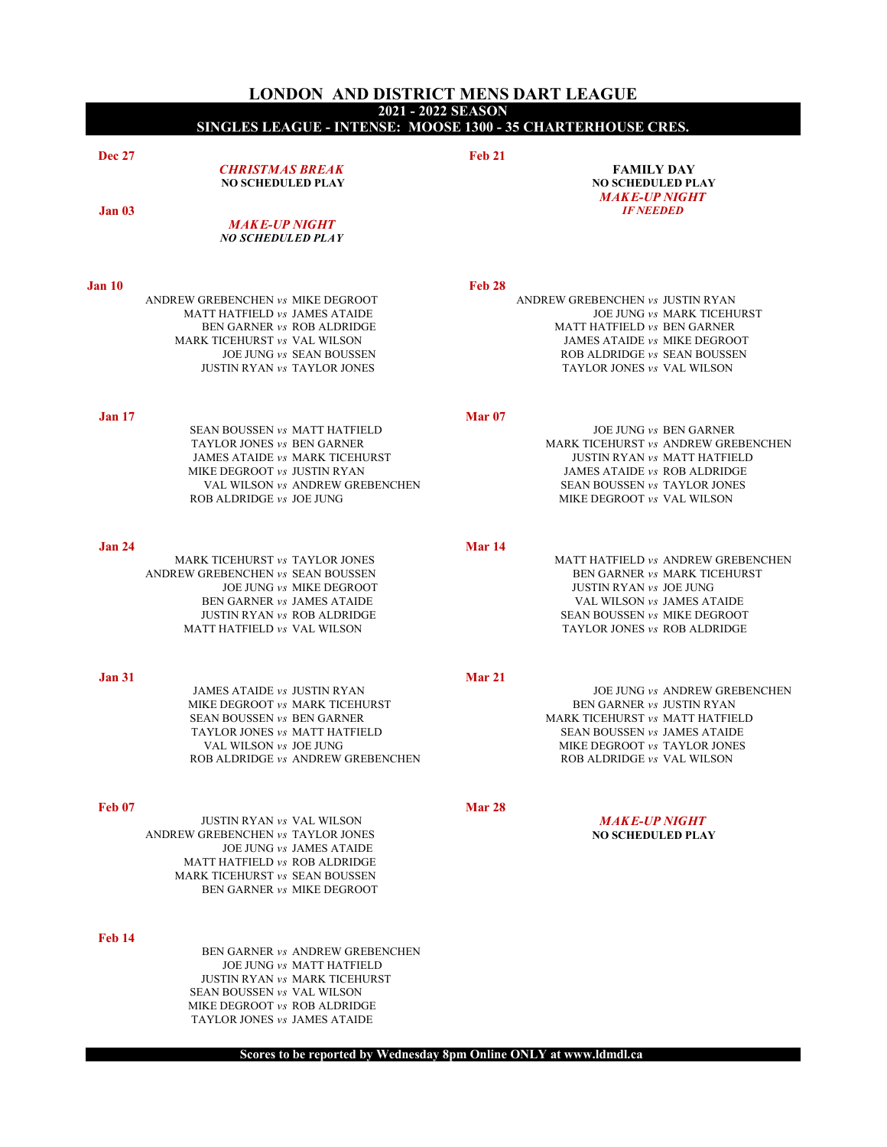|               | LONDON AND DISTRICT MENS DART LEAGUE<br>2021 - 2022 SEASON                                                                                                                                         |               |                                                                                                                                                                                                    |
|---------------|----------------------------------------------------------------------------------------------------------------------------------------------------------------------------------------------------|---------------|----------------------------------------------------------------------------------------------------------------------------------------------------------------------------------------------------|
|               | SINGLES LEAGUE - INTENSE: MOOSE 1300 - 35 CHARTERHOUSE CRES.                                                                                                                                       |               |                                                                                                                                                                                                    |
| <b>Dec 27</b> | <b>CHRISTMAS BREAK</b><br><b>NO SCHEDULED PLAY</b>                                                                                                                                                 | <b>Feb 21</b> | <b>FAMILY DAY</b><br><b>NO SCHEDULED PLAY</b><br><b>MAKE-UP NIGHT</b>                                                                                                                              |
| <b>Jan 03</b> | <b>MAKE-UP NIGHT</b><br><b>NO SCHEDULED PLAY</b>                                                                                                                                                   |               | <b>IF NEEDED</b>                                                                                                                                                                                   |
| <b>Jan 10</b> |                                                                                                                                                                                                    | Feb 28        |                                                                                                                                                                                                    |
|               | ANDREW GREBENCHEN vs MIKE DEGROOT<br>MATT HATFIELD vs JAMES ATAIDE<br>BEN GARNER vs ROB ALDRIDGE<br>MARK TICEHURST vs VAL WILSON<br>JOE JUNG vs SEAN BOUSSEN<br><b>JUSTIN RYAN vs TAYLOR JONES</b> |               | ANDREW GREBENCHEN vs JUSTIN RYAN<br>JOE JUNG vs MARK TICEHURST<br>MATT HATFIELD vs BEN GARNER<br>JAMES ATAIDE vs MIKE DEGROOT<br>ROB ALDRIDGE vs SEAN BOUSSEN<br>TAYLOR JONES vs VAL WILSON        |
| <b>Jan 17</b> | SEAN BOUSSEN vs MATT HATFIELD<br>TAYLOR JONES vs BEN GARNER<br>JAMES ATAIDE vs MARK TICEHURST<br>MIKE DEGROOT vs JUSTIN RYAN<br>VAL WILSON vs ANDREW GREBENCHEN<br>ROB ALDRIDGE vs JOE JUNG        | <b>Mar 07</b> | <b>JOE JUNG vs BEN GARNER</b><br>MARK TICEHURST vs ANDREW GREBENCHEN<br>JUSTIN RYAN vs MATT HATFIELD<br>JAMES ATAIDE vs ROB ALDRIDGE<br>SEAN BOUSSEN vs TAYLOR JONES<br>MIKE DEGROOT vs VAL WILSON |
| <b>Jan 24</b> |                                                                                                                                                                                                    | <b>Mar 14</b> |                                                                                                                                                                                                    |
|               | MARK TICEHURST vs TAYLOR JONES<br>ANDREW GREBENCHEN vs SEAN BOUSSEN<br>JOE JUNG vs MIKE DEGROOT<br>BEN GARNER vs JAMES ATAIDE<br>JUSTIN RYAN vs ROB ALDRIDGE<br>MATT HATFIELD vs VAL WILSON        |               | MATT HATFIELD vs ANDREW GREBENCHEN<br>BEN GARNER vs MARK TICEHURST<br>JUSTIN RYAN vs JOE JUNG<br>VAL WILSON vs JAMES ATAIDE<br>SEAN BOUSSEN vs MIKE DEGROOT<br>TAYLOR JONES vs ROB ALDRIDGE        |
| <b>Jan 31</b> |                                                                                                                                                                                                    | <b>Mar 21</b> |                                                                                                                                                                                                    |
|               | JAMES ATAIDE vs JUSTIN RYAN<br>MIKE DEGROOT vs MARK TICEHURST<br>SEAN BOUSSEN vs BEN GARNER<br>TAYLOR JONES vs MATT HATFIELD<br>VAL WILSON vs JOE JUNG<br>ROB ALDRIDGE vs ANDREW GREBENCHEN        |               | JOE JUNG vs ANDREW GREBENCHEN<br>BEN GARNER vs JUSTIN RYAN<br>MARK TICEHURST vs MATT HATFIELD<br>SEAN BOUSSEN vs JAMES ATAIDE<br>MIKE DEGROOT vs TAYLOR JONES<br>ROB ALDRIDGE vs VAL WILSON        |
| <b>Feb 07</b> |                                                                                                                                                                                                    | Mar 28        |                                                                                                                                                                                                    |
|               | <b>JUSTIN RYAN vs VAL WILSON</b><br>ANDREW GREBENCHEN vs TAYLOR JONES<br>JOE JUNG vs JAMES ATAIDE<br>MATT HATFIELD vs ROB ALDRIDGE<br>MARK TICEHURST vs SEAN BOUSSEN<br>BEN GARNER vs MIKE DEGROOT |               | <b>MAKE-UP NIGHT</b><br><b>NO SCHEDULED PLAY</b>                                                                                                                                                   |
| <b>Feb 14</b> | BEN GARNER vs ANDREW GREBENCHEN<br>JOE JUNG vs MATT HATFIELD<br>JUSTIN RYAN vs MARK TICEHURST<br>SEAN BOUSSEN vs VAL WILSON                                                                        |               |                                                                                                                                                                                                    |

Scores to be reported by Wednesday 8pm Online ONLY at www.ldmdl.ca

MIKE DEGROOT vs ROB ALDRIDGE TAYLOR JONES  $\mathit{vs}\,$  JAMES ATAIDE